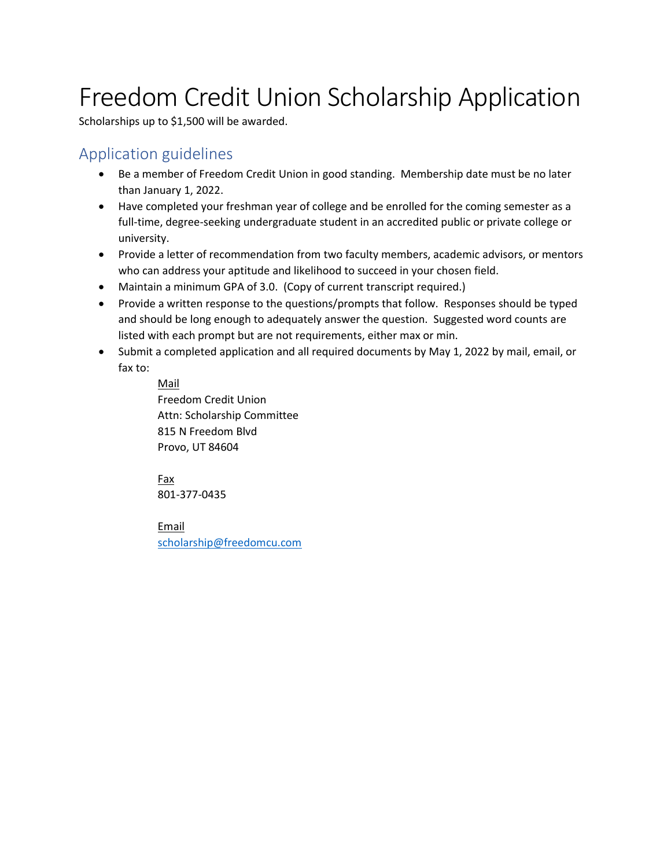## Freedom Credit Union Scholarship Application

Scholarships up to \$1,500 will be awarded.

## Application guidelines

- Be a member of Freedom Credit Union in good standing. Membership date must be no later than January 1, 2022.
- Have completed your freshman year of college and be enrolled for the coming semester as a full-time, degree-seeking undergraduate student in an accredited public or private college or university.
- Provide a letter of recommendation from two faculty members, academic advisors, or mentors who can address your aptitude and likelihood to succeed in your chosen field.
- Maintain a minimum GPA of 3.0. (Copy of current transcript required.)
- Provide a written response to the questions/prompts that follow. Responses should be typed and should be long enough to adequately answer the question. Suggested word counts are listed with each prompt but are not requirements, either max or min.
- Submit a completed application and all required documents by May 1, 2022 by mail, email, or fax to:

Mail Freedom Credit Union Attn: Scholarship Committee 815 N Freedom Blvd Provo, UT 84604

Fax 801-377-0435

Email scholarship@freedomcu.com